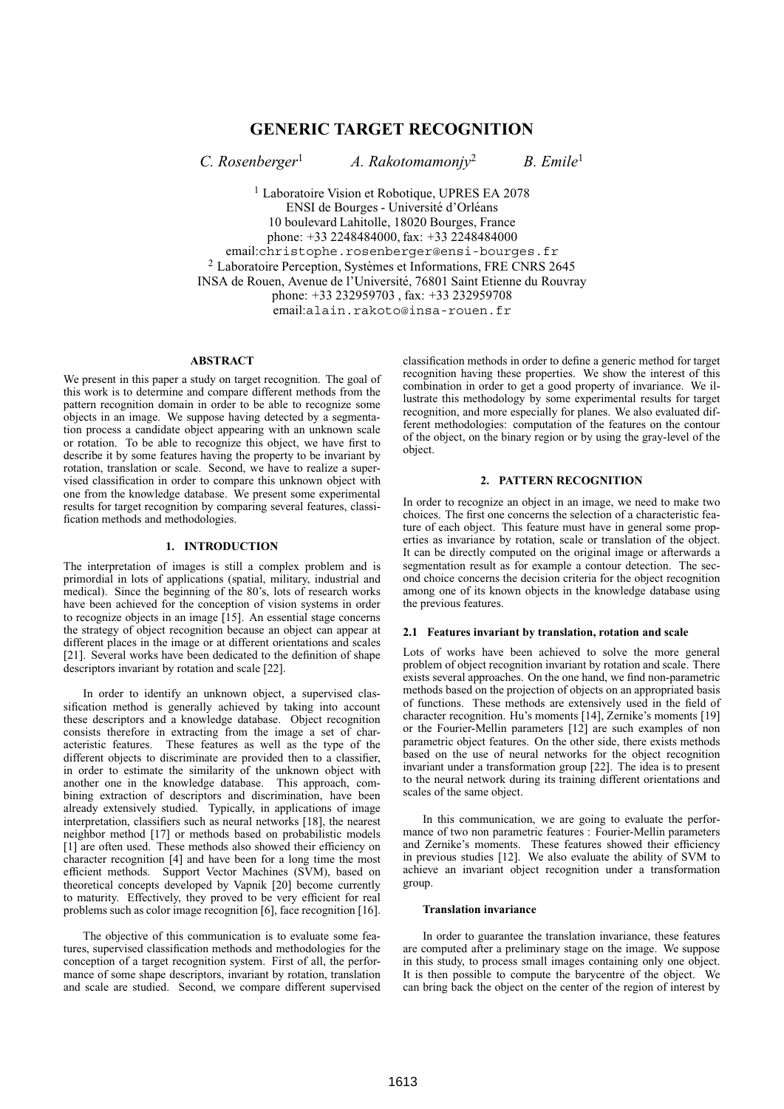# **GENERIC TARGET RECOGNITION**

*C. Rosenberger*<sup>1</sup> *A. Rakotomamonjy*<sup>2</sup> *B. Emile*<sup>1</sup>

<sup>1</sup> Laboratoire Vision et Robotique, UPRES EA 2078 ENSI de Bourges - Université d'Orléans 10 boulevard Lahitolle, 18020 Bourges, France phone: +33 2248484000, fax: +33 2248484000 email:christophe.rosenberger@ensi-bourges.fr  $2$  Laboratoire Perception, Systèmes et Informations, FRE CNRS 2645 INSA de Rouen, Avenue de l'Université, 76801 Saint Etienne du Rouvray phone: +33 232959703 , fax: +33 232959708 email:alain.rakoto@insa-rouen.fr

#### **ABSTRACT**

We present in this paper a study on target recognition. The goal of this work is to determine and compare different methods from the pattern recognition domain in order to be able to recognize some objects in an image. We suppose having detected by a segmentation process a candidate object appearing with an unknown scale or rotation. To be able to recognize this object, we have first to describe it by some features having the property to be invariant by rotation, translation or scale. Second, we have to realize a supervised classification in order to compare this unknown object with one from the knowledge database. We present some experimental results for target recognition by comparing several features, classification methods and methodologies.

# **1. INTRODUCTION**

The interpretation of images is still a complex problem and is primordial in lots of applications (spatial, military, industrial and medical). Since the beginning of the 80's, lots of research works have been achieved for the conception of vision systems in order to recognize objects in an image [15]. An essential stage concerns the strategy of object recognition because an object can appear at different places in the image or at different orientations and scales [21]. Several works have been dedicated to the definition of shape descriptors invariant by rotation and scale [22].

In order to identify an unknown object, a supervised classification method is generally achieved by taking into account these descriptors and a knowledge database. Object recognition consists therefore in extracting from the image a set of characteristic features. These features as well as the type of the different objects to discriminate are provided then to a classifier, in order to estimate the similarity of the unknown object with another one in the knowledge database. This approach, combining extraction of descriptors and discrimination, have been already extensively studied. Typically, in applications of image interpretation, classifiers such as neural networks [18], the nearest neighbor method [17] or methods based on probabilistic models [1] are often used. These methods also showed their efficiency on character recognition [4] and have been for a long time the most efficient methods. Support Vector Machines (SVM), based on theoretical concepts developed by Vapnik [20] become currently to maturity. Effectively, they proved to be very efficient for real problems such as color image recognition [6], face recognition [16].

The objective of this communication is to evaluate some features, supervised classification methods and methodologies for the conception of a target recognition system. First of all, the performance of some shape descriptors, invariant by rotation, translation and scale are studied. Second, we compare different supervised classification methods in order to define a generic method for target recognition having these properties. We show the interest of this combination in order to get a good property of invariance. We illustrate this methodology by some experimental results for target recognition, and more especially for planes. We also evaluated different methodologies: computation of the features on the contour of the object, on the binary region or by using the gray-level of the object.

#### **2. PATTERN RECOGNITION**

In order to recognize an object in an image, we need to make two choices. The first one concerns the selection of a characteristic feature of each object. This feature must have in general some properties as invariance by rotation, scale or translation of the object. It can be directly computed on the original image or afterwards a segmentation result as for example a contour detection. The second choice concerns the decision criteria for the object recognition among one of its known objects in the knowledge database using the previous features.

#### **2.1 Features invariant by translation, rotation and scale**

Lots of works have been achieved to solve the more general problem of object recognition invariant by rotation and scale. There exists several approaches. On the one hand, we find non-parametric methods based on the projection of objects on an appropriated basis of functions. These methods are extensively used in the field of character recognition. Hu's moments [14], Zernike's moments [19] or the Fourier-Mellin parameters [12] are such examples of non parametric object features. On the other side, there exists methods based on the use of neural networks for the object recognition invariant under a transformation group [22]. The idea is to present to the neural network during its training different orientations and scales of the same object.

In this communication, we are going to evaluate the performance of two non parametric features : Fourier-Mellin parameters and Zernike's moments. These features showed their efficiency in previous studies [12]. We also evaluate the ability of SVM to achieve an invariant object recognition under a transformation group.

#### **Translation invariance**

In order to guarantee the translation invariance, these features are computed after a preliminary stage on the image. We suppose in this study, to process small images containing only one object. It is then possible to compute the barycentre of the object. We can bring back the object on the center of the region of interest by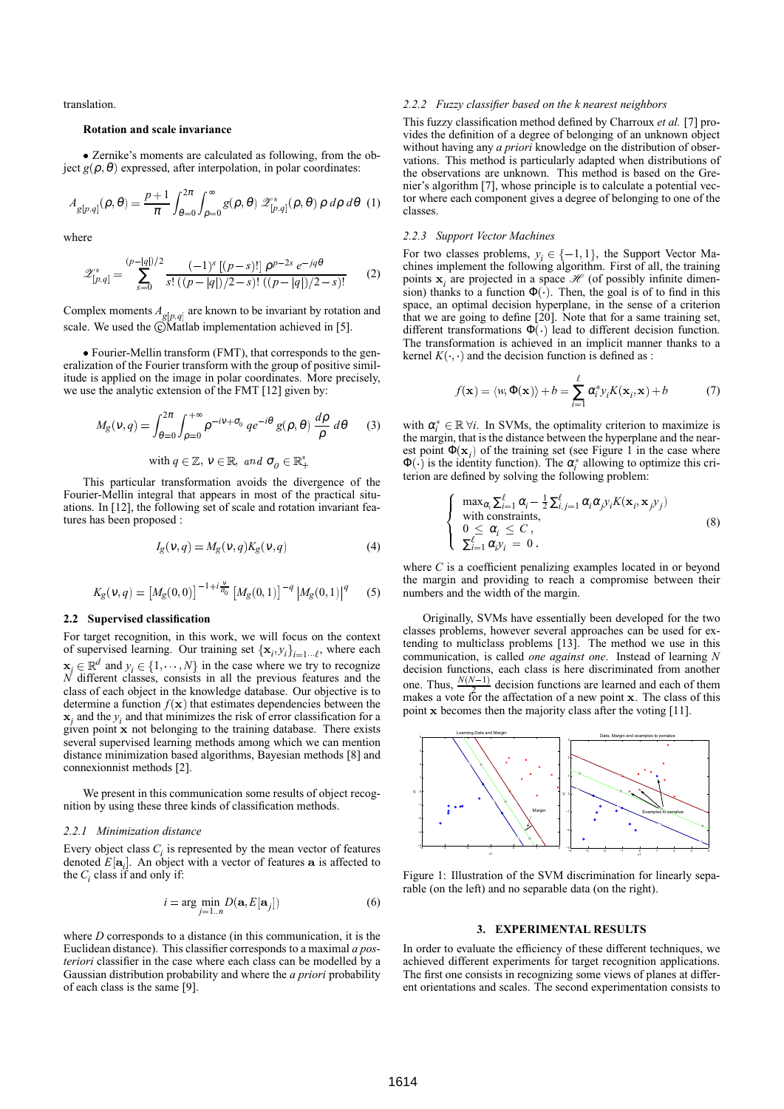translation.

#### **Rotation and scale invariance**

 Zernike's moments are calculated as following, from the ob- $\text{ject } g(\rho, \theta)$  expressed, after interpolation, in polar coordinates:

$$
A_{g[p,q]}(\rho,\theta) = \frac{p+1}{\pi} \int_{\theta=0}^{2\pi} \int_{\rho=0}^{\infty} g(\rho,\theta) \mathcal{Z}_{[p,q]}^{*}(\rho,\theta) \rho \,d\rho \,d\theta \tag{1}
$$

where

$$
\mathscr{Z}_{[p,q]}^* = \sum_{s=0}^{(p-|q|)/2} \frac{(-1)^s \left[ (p-s)! \right] \rho^{p-2s} e^{-jq\theta}}{s! \left( (p-|q|)/2 - s \right)! \left( (p-|q|)/2 - s \right)!} \tag{2}
$$

Complex moments  $A_{g[p,q]}$  are known to be invariant by rotation and scale. We used the  $\odot$ Matlab implementation achieved in [5].

 Fourier-Mellin transform (FMT), that corresponds to the generalization of the Fourier transform with the group of positive similitude is applied on the image in polar coordinates. More precisely, we use the analytic extension of the FMT [12] given by:

$$
M_g(\nu, q) = \int_{\theta=0}^{2\pi} \int_{\rho=0}^{+\infty} \rho^{-i\nu + \sigma_0} q e^{-i\theta} g(\rho, \theta) \frac{d\rho}{\rho} d\theta \qquad (3)
$$

with  $q \in \mathbb{Z}$ ,  $v \in \mathbb{R}$ , and  $\sigma_q \in \mathbb{R}_+^*$ 

This particular transformation avoids the divergence of the Fourier-Mellin integral that appears in most of the practical situations. In [12], the following set of scale and rotation invariant features has been proposed :

$$
I_g(\nu, q) = M_g(\nu, q) K_g(\nu, q)
$$
\n(4)

$$
K_g(\nu, q) = \left[M_g(0, 0)\right]^{-1 + i\frac{\nu}{\sigma_0}} \left[M_g(0, 1)\right]^{-q} \left|M_g(0, 1)\right|^q \tag{5}
$$

#### **2.2 Supervised classification**

For target recognition, in this work, we will focus on the context of supervised learning. Our training set  $\{x_i, y_i\}_{i=1 \cdots \ell}$ , where each  $\mathbf{x}_i \in \mathbb{R}^d$  and  $y_i \in \{1, \dots, N\}$  in the case where we try to recognize *N* different classes, consists in all the previous features and the class of each object in the knowledge database. Our objective is to determine a function  $f(\mathbf{x})$  that estimates dependencies between the  $\mathbf{x}_i$  and the  $y_i$  and that minimizes the risk of error classification for a given point x not belonging to the training database. There exists several supervised learning methods among which we can mention distance minimization based algorithms, Bayesian methods [8] and connexionnist methods [2].

We present in this communication some results of object recognition by using these three kinds of classification methods.

#### *2.2.1 Minimization distance*

Every object class  $C_i$  is represented by the mean vector of features denoted  $E[\mathbf{a}_{i}]$ . An object with a vector of features  $\mathbf{a}$  is affected to the  $C_i$  class if and only if:

$$
i = \arg\min_{j=1..n} D(\mathbf{a}, E[\mathbf{a}_j])
$$
 (6)

where *D* corresponds to a distance (in this communication, it is the Euclidean distance). This classifier corresponds to a maximal *a posteriori* classifier in the case where each class can be modelled by a Gaussian distribution probability and where the *a priori* probability of each class is the same [9].

#### *2.2.2 Fuzzy classifier based on the k nearest neighbors*

This fuzzy classification method defined by Charroux *et al.* [7] provides the definition of a degree of belonging of an unknown object without having any *a priori* knowledge on the distribution of observations. This method is particularly adapted when distributions of the observations are unknown. This method is based on the Grenier's algorithm [7], whose principle is to calculate a potential vector where each component gives a degree of belonging to one of the classes.

#### *2.2.3 Support Vector Machines*

For two classes problems,  $y_i \in \{-1, 1\}$ , the Support Vector Machines implement the following algorithm. First of all, the training points  $x_i$  are projected in a space  $\mathcal H$  (of possibly infinite dimension) thanks to a function  $\Phi(.)$ . Then, the goal is of to find in this space, an optimal decision hyperplane, in the sense of a criterion that we are going to define [20]. Note that for a same training set, different transformations  $\Phi(\cdot)$  lead to different decision function. The transformation is achieved in an implicit manner thanks to a kernel  $K(\cdot, \cdot)$  and the decision function is defined as :

$$
f(\mathbf{x}) = \langle w, \Phi(\mathbf{x}) \rangle + b = \sum_{i=1}^{\ell} \alpha_i^* y_i K(\mathbf{x}_i, \mathbf{x}) + b \tag{7}
$$

with  $\alpha_i^* \in \mathbb{R} \forall i$ . In SVMs, the optimality criterion to maximize is the margin, that is the distance between the hyperplane and the nearest point  $\Phi(\mathbf{x}_i)$  of the training set (see Figure 1 in the case where  $\Phi(\cdot)$  is the identity function). The  $\alpha_i^*$  allowing to optimize this criterion are defined by solving the following problem:

$$
\begin{cases}\n\max_{\alpha_i} \sum_{i=1}^{\ell} \alpha_i - \frac{1}{2} \sum_{i,j=1}^{\ell} \alpha_i \alpha_j y_i K(\mathbf{x}_i, \mathbf{x}_j y_j) \\
\text{with constraints,} \\
0 \leq \alpha_i \leq C, \\
\sum_{i=1}^{\ell} \alpha_i y_i = 0.\n\end{cases} (8)
$$

where *C* is a coefficient penalizing examples located in or beyond the margin and providing to reach a compromise between their numbers and the width of the margin.

Originally, SVMs have essentially been developed for the two classes problems, however several approaches can be used for extending to multiclass problems [13]. The method we use in this communication, is called *one against one*. Instead of learning *N* decision functions, each class is here discriminated from another one. Thus,  $\frac{N(N-1)}{2}$  decision functions are learned and each of them makes a vote for the affectation of a new point  $x$ . The class of this point x becomes then the majority class after the voting [11].



Figure 1: Illustration of the SVM discrimination for linearly separable (on the left) and no separable data (on the right).

## **3. EXPERIMENTAL RESULTS**

In order to evaluate the efficiency of these different techniques, we achieved different experiments for target recognition applications. The first one consists in recognizing some views of planes at different orientations and scales. The second experimentation consists to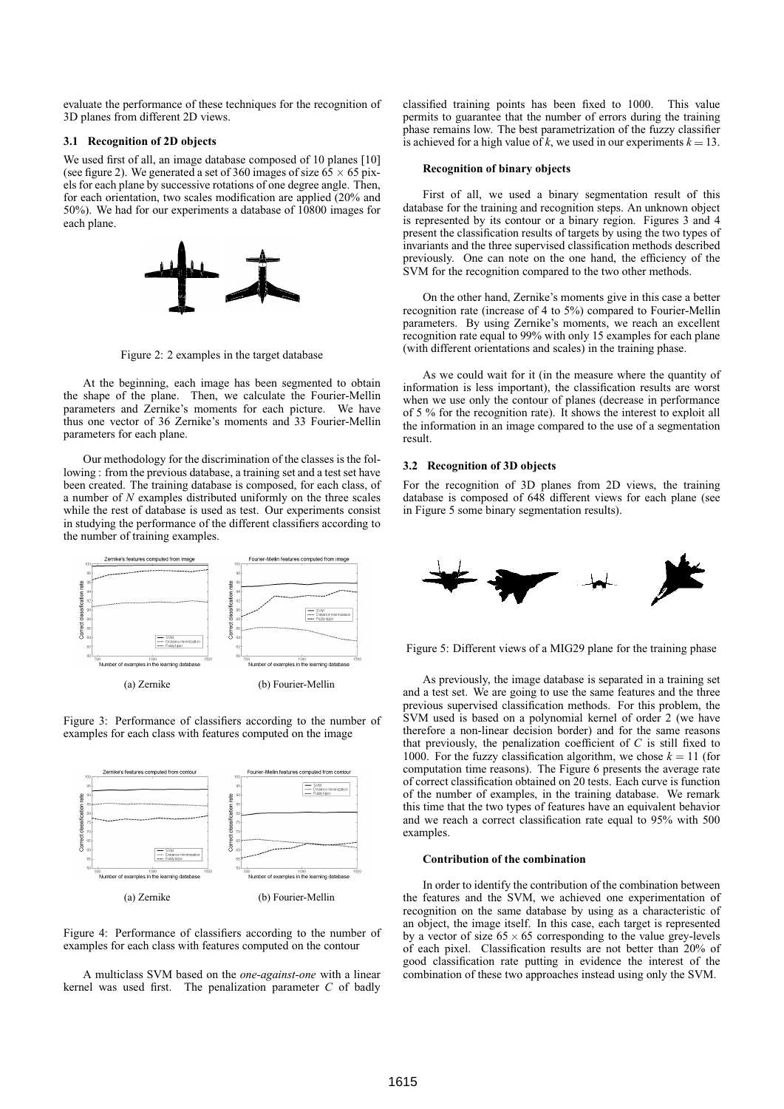evaluate the performance of these techniques for the recognition of 3D planes from different 2D views.

# **3.1 Recognition of 2D objects**

We used first of all, an image database composed of 10 planes [10] (see figure 2). We generated a set of 360 images of size  $65 \times 65$  pixels for each plane by successive rotations of one degree angle. Then, for each orientation, two scales modification are applied (20% and 50%). We had for our experiments a database of 10800 images for each plane.



Figure 2: 2 examples in the target database

At the beginning, each image has been segmented to obtain the shape of the plane. Then, we calculate the Fourier-Mellin parameters and Zernike's moments for each picture. We have thus one vector of 36 Zernike's moments and 33 Fourier-Mellin parameters for each plane.

Our methodology for the discrimination of the classes is the following : from the previous database, a training set and a test set have been created. The training database is composed, for each class, of a number of *N* examples distributed uniformly on the three scales while the rest of database is used as test. Our experiments consist in studying the performance of the different classifiers according to the number of training examples.







Figure 4: Performance of classifiers according to the number of examples for each class with features computed on the contour

A multiclass SVM based on the *one-against-one* with a linear kernel was used first. The penalization parameter *C* of badly classified training points has been fixed to 1000. This value permits to guarantee that the number of errors during the training phase remains low. The best parametrization of the fuzzy classifier is achieved for a high value of *k*, we used in our experiments  $k = 13$ .

#### **Recognition of binary objects**

First of all, we used a binary segmentation result of this database for the training and recognition steps. An unknown object is represented by its contour or a binary region. Figures 3 and 4 present the classification results of targets by using the two types of invariants and the three supervised classification methods described previously. One can note on the one hand, the efficiency of the SVM for the recognition compared to the two other methods.

On the other hand, Zernike's moments give in this case a better recognition rate (increase of 4 to 5%) compared to Fourier-Mellin parameters. By using Zernike's moments, we reach an excellent recognition rate equal to 99% with only 15 examples for each plane (with different orientations and scales) in the training phase.

As we could wait for it (in the measure where the quantity of information is less important), the classification results are worst when we use only the contour of planes (decrease in performance of 5 % for the recognition rate). It shows the interest to exploit all the information in an image compared to the use of a segmentation result.

## **3.2 Recognition of 3D objects**

For the recognition of 3D planes from 2D views, the training database is composed of 648 different views for each plane (see in Figure 5 some binary segmentation results).



Figure 5: Different views of a MIG29 plane for the training phase

As previously, the image database is separated in a training set and a test set. We are going to use the same features and the three previous supervised classification methods. For this problem, the SVM used is based on a polynomial kernel of order 2 (we have therefore a non-linear decision border) and for the same reasons that previously, the penalization coefficient of *C* is still fixed to 1000. For the fuzzy classification algorithm, we chose  $k = 11$  (for computation time reasons). The Figure 6 presents the average rate of correct classification obtained on 20 tests. Each curve is function of the number of examples, in the training database. We remark this time that the two types of features have an equivalent behavior and we reach a correct classification rate equal to 95% with 500 examples.

# **Contribution of the combination**

In order to identify the contribution of the combination between the features and the SVM, we achieved one experimentation of recognition on the same database by using as a characteristic of an object, the image itself. In this case, each target is represented by a vector of size  $65 \times 65$  corresponding to the value grey-levels of each pixel. Classification results are not better than 20% of good classification rate putting in evidence the interest of the combination of these two approaches instead using only the SVM.